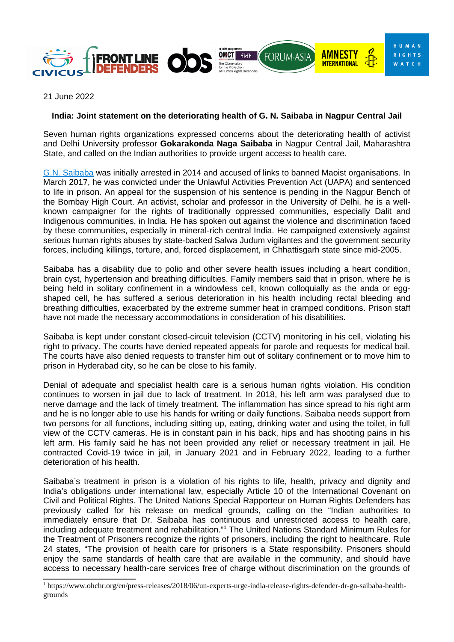

21 June 2022

## **India: Joint statement on the deteriorating health of G. N. Saibaba in Nagpur Central Jail**

Seven human rights organizations expressed concerns about the deteriorating health of activist and Delhi University professor **[Gokarakonda Naga Saibaba](https://www.ohchr.org/en/press-releases/2018/06/un-experts-urge-india-release-rights-defender-dr-gn-saibaba-health-grounds?LangID=E&NewsID=23284)** in Nagpur Central Jail, Maharashtra State, and called on the Indian authorities to provide urgent access to health care.

[G.N. Saibaba](https://www.frontlinedefenders.org/en/profile/gokarakonda-naga-saibaba) was initially arrested in 2014 and accused of links to banned Maoist organisations. In March 2017, he was convicted under the Unlawful Activities Prevention Act (UAPA) and sentenced to life in prison. An appeal for the suspension of his sentence is pending in the Nagpur Bench of the Bombay High Court. An activist, scholar and professor in the University of Delhi, he is a wellknown campaigner for the rights of traditionally oppressed communities, especially Dalit and Indigenous communities, in India. He has spoken out against the violence and discrimination faced by these communities, especially in mineral-rich central India. He campaigned extensively against serious human rights abuses by state-backed Salwa Judum vigilantes and the government security forces, including killings, torture, and, forced displacement, in Chhattisgarh state since mid-2005.

Saibaba has a disability due to polio and other severe health issues including a heart condition, brain cyst, hypertension and breathing difficulties. Family members said that in prison, where he is being held in solitary confinement in a windowless cell, known colloquially as the anda or eggshaped cell, he has suffered a serious deterioration in his health including rectal bleeding and breathing difficulties, exacerbated by the extreme summer heat in cramped conditions. Prison staff have not made the necessary accommodations in consideration of his disabilities.

Saibaba is kept under constant closed-circuit television (CCTV) monitoring in his cell, violating his right to privacy. The courts have denied repeated appeals for parole and requests for medical bail. The courts have also denied requests to transfer him out of solitary confinement or to move him to prison in Hyderabad city, so he can be close to his family.

Denial of adequate and specialist health care is a serious human rights violation. His condition continues to worsen in jail due to lack of treatment. In 2018, his left arm was paralysed due to nerve damage and the lack of timely treatment. The inflammation has since spread to his right arm and he is no longer able to use his hands for writing or daily functions. Saibaba needs support from two persons for all functions, including sitting up, eating, drinking water and using the toilet, in full view of the CCTV cameras. He is in constant pain in his back, hips and has shooting pains in his left arm. His family said he has not been provided any relief or necessary treatment in jail. He contracted Covid-19 twice in jail, in January 2021 and in February 2022, leading to a further deterioration of his health.

Saibaba's treatment in prison is a violation of his rights to life, health, privacy and dignity and India's obligations under international law, especially Article 10 of the International Covenant on Civil and Political Rights. The United Nations Special Rapporteur on Human Rights Defenders has previously [called](https://www.ohchr.org/en/press-releases/2018/06/un-experts-urge-india-release-rights-defender-dr-gn-saibaba-health-grounds) for his release on medical grounds, [calling](https://www.ohchr.org/en/press-releases/2018/06/un-experts-urge-india-release-rights-defender-dr-gn-saibaba-health-grounds) on the "Indian authorities to immediately ensure that Dr. Saibaba has continuous and unrestricted access to health care, including adequate treatment and rehabilitation."[1](#page-0-0) The United Nations Standard Minimum Rules for the Treatment of Prisoners recognize the rights of prisoners, including the right to healthcare. Rule 24 states, "The provision of health care for prisoners is a State responsibility. Prisoners should enjoy the same standards of health care that are available in the community, and should have access to necessary health-care services free of charge without discrimination on the grounds of

<span id="page-0-0"></span><sup>1</sup> https://www.ohchr.org/en/press-releases/2018/06/un-experts-urge-india-release-rights-defender-dr-gn-saibaba-healthgrounds